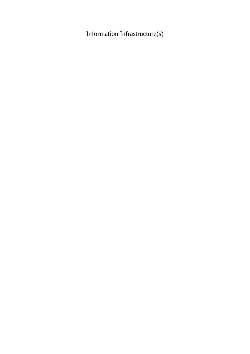Information Infrastructure(s)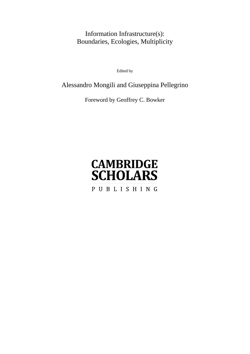# Information Infrastructure(s): Boundaries, Ecologies, Multiplicity

Edited by

# Alessandro Mongili and Giuseppina Pellegrino

Foreword by Geoffrey C. Bowker

# **CAMBRIDGE SCHOLARS** PUBLISHING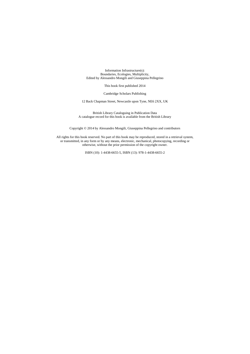Information Infrastructure(s): Boundaries, Ecologies, Multiplicity, Edited by Alessandro Mongili and Giuseppina Pellegrino

This book first published 2014

Cambridge Scholars Publishing

12 Back Chapman Street, Newcastle upon Tyne, NE6 2XX, UK

British Library Cataloguing in Publication Data A catalogue record for this book is available from the British Library

Copyright © 2014 by Alessandro Mongili, Giuseppina Pellegrino and contributors

All rights for this book reserved. No part of this book may be reproduced, stored in a retrieval system, or transmitted, in any form or by any means, electronic, mechanical, photocopying, recording or otherwise, without the prior permission of the copyright owner.

ISBN (10): 1-4438-6655-5, ISBN (13): 978-1-4438-6655-2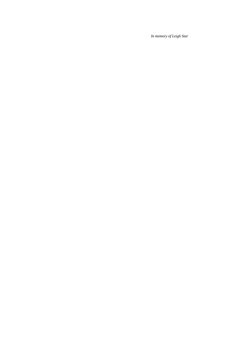*In memory of Leigh Star*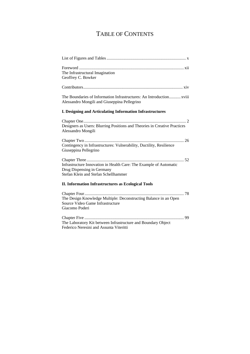# TABLE OF CONTENTS

| The Infrastructural Imagination<br>Geoffrey C. Bowker                                                                                    |
|------------------------------------------------------------------------------------------------------------------------------------------|
|                                                                                                                                          |
| The Boundaries of Information Infrastructures: An Introduction xviii<br>Alessandro Mongili and Giuseppina Pellegrino                     |
| I. Designing and Articulating Information Infrastructures                                                                                |
| Designers as Users: Blurring Positions and Theories in Creative Practices<br>Alessandro Mongili                                          |
| Contingency in Infrastructures: Vulnerability, Ductility, Resilience<br>Giuseppina Pellegrino                                            |
| Infrastructure Innovation in Health Care: The Example of Automatic<br>Drug Dispensing in Germany<br>Stefan Klein and Stefan Schellhammer |
| <b>II. Information Infrastructures as Ecological Tools</b>                                                                               |
| The Design Knowledge Multiple: Deconstructing Balance in an Open<br>Source Video Game Infrastructure<br>Giacomo Poderi                   |
| The Laboratory Kit between Infrastructure and Boundary Object<br>Federico Neresini and Assunta Viteritti                                 |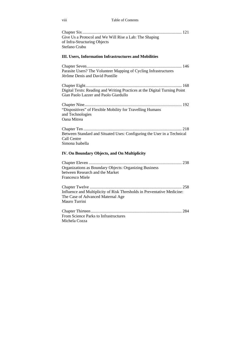viii Table of Contents

| Give Us a Protocol and We Will Rise a Lab: The Shaping<br>of Infra-Structuring Objects<br>Stefano Crabu                       |
|-------------------------------------------------------------------------------------------------------------------------------|
| <b>III. Users, Information Infrastructures and Mobilities</b>                                                                 |
| Parasite Users? The Volunteer Mapping of Cycling Infrastructures<br>Jérôme Denis and David Pontille                           |
| Digital Texts: Reading and Writing Practices at the Digital Turning Point<br>Gian Paolo Lazzer and Paolo Giardullo            |
| "Dispositives" of Flexible Mobility for Travelling Humans<br>and Technologies<br>Oana Mitrea                                  |
| Between Standard and Situated Uses: Configuring the User in a Technical<br>Call Centre<br>Simona Isabella                     |
| IV. On Boundary Objects, and On Multiplicity                                                                                  |
| Organizations as Boundary Objects: Organizing Business<br>between Research and the Market<br><b>Francesco Miele</b>           |
| Influence and Multiplicity of Risk Thresholds in Preventative Medicine:<br>The Case of Advanced Maternal Age<br>Mauro Turrini |

| <b>From Science Parks to Infrastructures</b> |  |
|----------------------------------------------|--|
| Michela Cozza                                |  |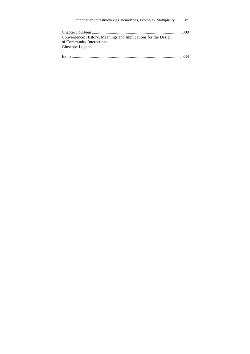| Information Infrastructure(s): Boundaries, Ecologies, Multiplicity | ix  |
|--------------------------------------------------------------------|-----|
|                                                                    |     |
| Convergence: History, Meanings and Implications for the Design     |     |
| of Community Interactions                                          |     |
| Giuseppe Lugano                                                    |     |
|                                                                    | 334 |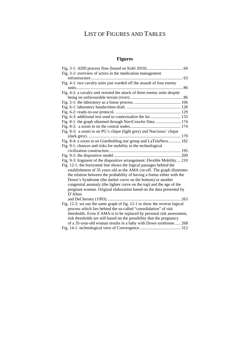# LIST OF FIGURES AND TABLES

# **Figures**

| Fig. 3-2: overview of actors in the medication management                 |
|---------------------------------------------------------------------------|
|                                                                           |
| Fig. 4-1: two cavalry units just warded off the assault of four enemy     |
|                                                                           |
| Fig. 4-2: a cavalry unit resisted the attack of three enemy units despite |
|                                                                           |
|                                                                           |
|                                                                           |
|                                                                           |
|                                                                           |
| Fig. 8-1: the graph obtained through NaviCrawler Data.  174               |
|                                                                           |
| Fig. 8-3: a zoom in on PG's clique (light grey) and Narcissus' clique     |
|                                                                           |
| Fig. 8-4: a zoom in on Giardiniblog star group and LaTelaNera 182         |
| Fig. 9-1: chances and risks for mobility in the technological             |
|                                                                           |
|                                                                           |
| Fig. 9-3: fragment of the dispositive arrangement: Flexible Mobility 210  |
| Fig. 12-1: the horizontal line shows the logical passages behind the      |
| establishment of 35 years old as the AMA cut-off. The graph illustrates   |
| the relation between the probability of having a foetus either with the   |
| Down's Syndrome (the darker curve on the bottom) or another               |
| congenital anomaly (the lighter curve on the top) and the age of the      |
| pregnant woman. Original elaboration based on the data presented by       |
| D'Alton                                                                   |
|                                                                           |
| Fig. 12-2: we use the same graph of fig. 12-1 to show the reverse logical |
| process which lies behind the so-called "consolidation" of risk           |
| thresholds. Even if AMA is to be replaced by personal risk assessment,    |
| risk thresholds are still based on the possibility that the pregnancy     |
| of a 35-year-old woman results in a baby with Down syndrome 268           |
|                                                                           |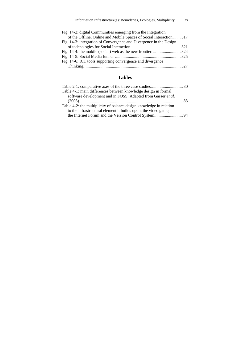| Information Infrastructure(s): Boundaries, Ecologies, Multiplicity                                                                                                                                        | X1  |
|-----------------------------------------------------------------------------------------------------------------------------------------------------------------------------------------------------------|-----|
| Fig. 14-2: digital Communities emerging from the Integration<br>of the Offline, Online and Mobile Spaces of Social Interaction  317<br>Fig. 14-3: integration of Convergence and Divergence in the Design |     |
|                                                                                                                                                                                                           |     |
|                                                                                                                                                                                                           |     |
|                                                                                                                                                                                                           | 325 |
| Fig. 14-6: ICT tools supporting convergence and divergence                                                                                                                                                |     |
|                                                                                                                                                                                                           |     |

### **Tables**

| Table 2-1: comparative axes of the three case studies 30            |  |
|---------------------------------------------------------------------|--|
| Table 4-1: main differences between knowledge design in formal      |  |
| software development and in FOSS. Adapted from Gasser et al.        |  |
|                                                                     |  |
| Table 4-2: the multiplicity of balance design knowledge in relation |  |
| to the infrastructural element it builds upon: the video game,      |  |
|                                                                     |  |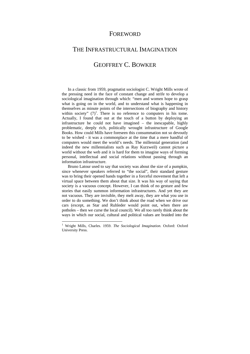### FOREWORD

### THE INFRASTRUCTURAL IMAGINATION

### GEOFFREY C. BOWKER

In a classic from 1959, pragmatist sociologist C. Wright Mills wrote of the pressing need in the face of constant change and strife to develop a sociological imagination through which: "men and women hope to grasp what is going on in the world, and to understand what is happening in themselves as minute points of the intersections of biography and history within society"  $(7)^1$ . There is no reference to computers in his tome. Actually, I found that out at the touch of a button by deploying an infrastructure he could not have imagined – the inescapable, highly problematic, deeply rich, politically wrought infrastructure of Google Books. How could Mills have foreseen this consummation not so devoutly to be wished - it was a commonplace at the time that a mere handful of computers would meet the world's needs. The millennial generation (and indeed the new millennialists such as Ray Kurzweil) cannot picture a world without the web and it is hard for them to imagine ways of forming personal, intellectual and social relations without passing through an information infrastructure.

Bruno Latour used to say that society was about the size of a pumpkin, since whenever speakers referred to "the social", their standard gesture was to bring their opened hands together in a forceful movement that left a virtual space between them about that size. It was his way of saying that society is a vacuous concept. However, I can think of no gesture and few stories that easily summon information infrastructures. And yet they are not vacuous. They are invisible, they melt away, they are what you use in order to do something. We don't think about the road when we drive our cars (except, as Star and Ruhleder would point out, when there are potholes – then we curse the local council). We all too rarely think about the ways in which our social, cultural and political values are braided into the

 $\overline{a}$ 

<sup>&</sup>lt;sup>1</sup> Wright Mills, Charles. 1959. *The Sociological Imagination*. Oxford: Oxford University Press.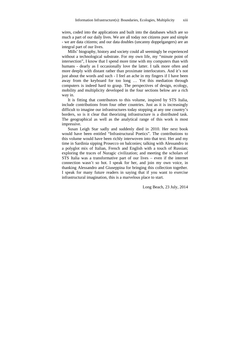wires, coded into the applications and built into the databases which are so much a part of our daily lives. We are all today not citizens pure and simple - we are data citizens; and our data doubles (uncanny doppelgangers) are an integral part of our lives.

Mills' biography, history and society could all seemingly be experienced without a technological substrate. For my own life, my "minute point of intersection", I know that I spend more time with my computers than with humans - dearly as I occasionally love the latter. I talk more often and more deeply with distant rather than proximate interlocutors. And it's not just about the words and such - I feel an ache in my fingers if I have been away from the keyboard for too long … Yet this mediation through computers is indeed hard to grasp. The perspectives of design, ecology, mobility and multiplicity developed in the four sections below are a rich way in.

It is fitting that contributors to this volume, inspired by STS Italia, include contributions from four other countries. Just as it is increasingly difficult to imagine our infrastructures today stopping at any one country's borders, so is it clear that theorizing infrastructure is a distributed task. The geographical as well as the analytical range of this work is most impressive.

Susan Leigh Star sadly and suddenly died in 2010. Her next book would have been entitled "Infrastructural Poetics". The contributions to this volume would have been richly interwoven into that text. Her and my time in Sardinia sipping Prosecco on balconies; talking with Alessandro in a polyglot mix of Italian, French and English with a touch of Russian; exploring the traces of Nuragic civilization; and meeting the scholars of STS Italia was a transformative part of our lives – even if the internet connection wasn't so hot. I speak for her, and join my own voice, in thanking Alessandro and Giuseppina for bringing this collection together. I speak for many future readers in saying that if you want to exercise infrastructural imagination, this is a marvelous place to start.

Long Beach, 23 July, 2014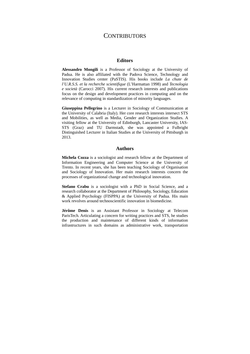### **CONTRIBUTORS**

#### **Editors**

**Alessandro Mongili** is a Professor of Sociology at the University of Padua. He is also affiliated with the Padova Science, Technology and Innovation Studies center (PaSTIS). His books include *La chute de l'U.R.S.S. et la recherche scientifique* (L'Harmattan 1998) and *Tecnologia e società* (Carocci 2007). His current research interests and publications focus on the design and development practices in computing and on the relevance of computing in standardization of minority languages.

**Giuseppina Pellegrino** is a Lecturer in Sociology of Communication at the University of Calabria (Italy). Her core research interests intersect STS and Mobilities, as well as Media, Gender and Organization Studies. A visiting fellow at the University of Edinburgh, Lancaster University, IAS-STS (Graz) and TU Darmstadt, she was appointed a Fulbright Distinguished Lecturer in Italian Studies at the University of Pittsburgh in 2013.

#### **Authors**

**Michela Cozza** is a sociologist and research fellow at the Department of Information Engineering and Computer Science at the University of Trento. In recent years, she has been teaching Sociology of Organisation and Sociology of Innovation. Her main research interests concern the processes of organizational change and technological innovation.

**Stefano Crabu** is a sociologist with a PhD in Social Science, and a research collaborator at the Department of Philosophy, Sociology, Education & Applied Psychology (FISPPA) at the University of Padua. His main work revolves around technoscientific innovation in biomedicine.

**Jérôme Denis** is an Assistant Professor in Sociology at Telecom ParisTech. Articulating a concern for writing practices and STS, he studies the production and maintenance of different kinds of information infrastructures in such domains as administrative work, transportation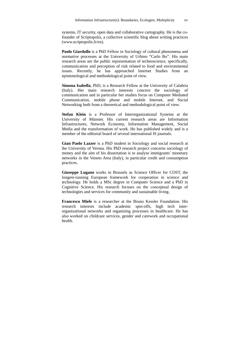systems, IT security, open data and collaborative cartography. He is the cofounder of Scriptopolis, a collective scientific blog about writing practices (www.scriptopolis.fr/en).

**Paolo Giardullo** is a PhD Fellow in Sociology of cultural phenomena and normative processes at the University of Urbino "Carlo Bo". His main research areas are the public representation of technoscience, specifically, communication and perception of risk related to food and environmental issues. Recently, he has approached Internet Studies from an epistemological and methodological point of view.

**Simona Isabella**, PhD, is a Research Fellow at the University of Calabria (Italy). Her main research interests concern the sociology of communication and in particular her studies focus on Computer Mediated Communication, mobile phone and mobile Internet, and Social Networking both from a theoretical and methodological point of view.

**Stefan Klein** is a Professor of Interorganizational Systems at the University of Münster. His current research areas are Information Infrastructures, Network Economy, Information Management, Social Media and the transformation of work. He has published widely and is a member of the editorial board of several international IS journals.

**Gian Paolo Lazzer** is a PhD student in Sociology and social research at the University of Verona. His PhD research project concerns sociology of money and the aim of his dissertation is to analyse immigrants' monetary networks in the Veneto Area (Italy), in particular credit and consumption practices.

**Giuseppe Lugano** works in Brussels as Science Officer for COST, the longest-running European framework for cooperation in science and technology. He holds a MSc degree in Computer Science and a PhD in Cognitive Science. His research focuses on the conceptual design of technologies and services for community and sustainable living.

**Francesco Miele** is a researcher at the Bruno Kessler Foundation. His research interests include academic spin-offs, high tech interorganizational networks and organizing processes in healthcare. He has also worked on childcare services, gender and carework and occupational health.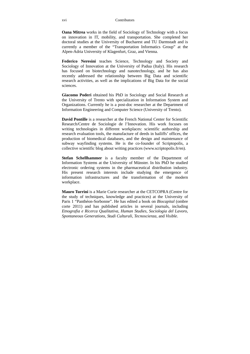**Oana Mitrea** works in the field of Sociology of Technology with a focus on innovation in IT, mobility, and transportation. She completed her doctoral studies at the University of Bucharest and TU Darmstadt and is currently a member of the "Transportation Informatics Group" at the Alpen-Adria University of Klagenfurt, Graz, and Vienna.

**Federico Neresini** teaches Science, Technology and Society and Sociology of Innovation at the University of Padua (Italy). His research has focused on biotechnology and nanotechnology, and he has also recently addressed the relationship between Big Data and scientific research activities, as well as the implications of Big Data for the social sciences.

**Giacomo Poderi** obtained his PhD in Sociology and Social Research at the University of Trento with specialization in Information System and Organizations. Currently he is a post-doc researcher at the Department of Information Engineering and Computer Science (University of Trento).

**David Pontille** is a researcher at the French National Center for Scientific Research/Centre de Sociologie de l'Innovation. His work focuses on writing technologies in different workplaces: scientific authorship and research evaluation tools, the manufacture of deeds in bailiffs' offices, the production of biomedical databases, and the design and maintenance of subway wayfinding systems. He is the co-founder of Scriptopolis, a collective scientific blog about writing practices (www.scriptopolis.fr/en).

**Stefan Schellhammer** is a faculty member of the Department of Information Systems at the University of Münster. In his PhD he studied electronic ordering systems in the pharmaceutical distribution industry. His present research interests include studying the emergence of information infrastructures and the transformation of the modern workplace.

**Mauro Turrini** is a Marie Curie researcher at the CETCOPRA (Centre for the study of techniques, knowledge and practices) at the University of Paris 1 "Panthéon-Sorbonne". He has edited a book on *Biocapital* (ombre corte 2011) and has published articles in several journals, including *Etnografia e Ricerca Qualitativa*, *Human Studies*, *Sociologia del Lavoro*, *Spontaneous Generations*, *Studi Culturali*, *Tecnoscienza*, and *Visible*.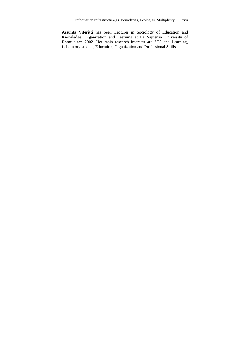**Assunta Viteritti** has been Lecturer in Sociology of Education and Knowledge, Organization and Learning at La Sapienza University of Rome since 2002. Her main research interests are STS and Learning, Laboratory studies, Education, Organization and Professional Skills.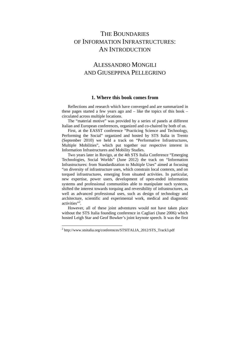# THE BOUNDARIES OF INFORMATION INFRASTRUCTURES: AN INTRODUCTION

## ALESSANDRO MONGILI AND GIUSEPPINA PELLEGRINO

#### **1. Where this book comes from**

Reflections and research which have converged and are summarized in these pages started a few years ago and – like the topics of this book – circulated across multiple locations.

The "material motive" was provided by a series of panels at different Italian and European conferences, organized and co-chaired by both of us.

First, at the EASST conference "Practicing Science and Technology, Performing the Social" organized and hosted by STS Italia in Trento (September 2010) we held a track on "Performative Infrastructures, Multiple Mobilities", which put together our respective interest in Information Infrastructures and Mobility Studies.

Two years later in Rovigo, at the 4th STS Italia Conference "Emerging Technologies, Social Worlds" (June 2012) the track on "Information Infrastructures: from Standardization to Multiple Uses" aimed at focusing "on diversity of infrastructure uses, which constrain local contexts, and on torqued infrastructures, emerging from situated activities. In particular, new expertise, power users, development of open-ended information systems and professional communities able to manipulate such systems, shifted the interest towards torquing and reversibility of infrastructures, as well as advanced professional uses, such as design of technology and architecture, scientific and experimental work, medical and diagnostic activities"<sup>2</sup>.

However, all of these joint adventures would not have taken place without the STS Italia founding conference in Cagliari (June 2006) which hosted Leigh Star and Geof Bowker's joint keynote speech. It was the first

 2 http://www.stsitalia.org/conferences/STSITALIA\_2012/STS\_Track3.pdf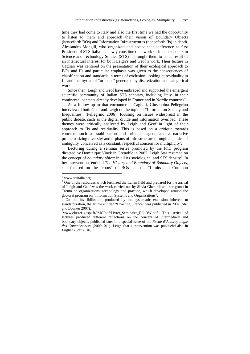time they had come to Italy and also the first time we had the opportunity to listen to them and approach their vision of Boundary Objects (henceforth BOs) and Information Infrastructures (henceforth IIs) in depth. Alessandro Mongili, who organized and hosted that conference as first President of STS Italia – a newly constituted network of Italian scholars in Science and Technology Studies  $(STS)^3$  - brought them to us as result of an intellectual interest for both Leigh's and Geof's work. Their lecture in Cagliari was centered on the presentation of their ecological approach to BOs and IIs and particular emphasis was given to the consequences of classification and standards in terms of exclusion, looking at residuality in IIs and the myriad of "orphans" generated by discretization and categorical work.

Since then, Leigh and Geof have embraced and supported the emergent scientific community of Italian STS scholars, including Italy, in their continental contacts already developed in France and in Nordic countries<sup>4</sup>.

As a follow up to that encounter in Cagliari, Giuseppina Pellegrino interviewed both Geof and Leigh on the topic of "Information Society and Inequalities" (Pellegrino 2006), focusing on issues widespread in the public debate, such as the digital divide and information overload. These themes were critically analyzed by Leigh and Geof in light of their approach to IIs and residuality. This is based on a critique towards concepts such as stabilization and principal agent, and a narrative problematizing diversity and orphans of infrastructure through an ethics of ambiguity, conceived as a constant, respectful concern for multiplicity<sup>5</sup>.

Lecturing during a seminar series promoted by the PhD program directed by Dominique Vinck in Grenoble in 2007, Leigh Star resumed on the concept of *boundary object* in all its sociological and STS density<sup>6</sup>. In her intervention, entitled *The History and Boundary of Boundary Objects*, she focused on the "roots" of BOs and the "Limits and Common

1

<sup>3</sup> www.stsitalia.org

<sup>&</sup>lt;sup>4</sup> One of the resources which fertilized the Italian field and prepared for the arrival of Leigh and Geof was the work carried out by Silvia Gherardi and her group in Trento on organizations, technology and practice, which developed around the doctoral program on "Information Systems and Organizations".

 $5$  On the invisibilization produced by the systematic exclusion inherent to standardization, the article entitled "Enacting Silence" was published in 2007 (Star and Bowker 2007).

<sup>&</sup>lt;sup>6</sup>www.cluster-gospi.fr/IMG/pdf/Livret\_Seminaire\_BO-BW.pdf. This series of lectures produced different reflections on the concept of intermediary and boundary objects, published later in a special issue of the *Revue d'Anthropologie des Connaissances* (2009, 3/1). Leigh Star's intervention was publisehd also in English (Star 2010).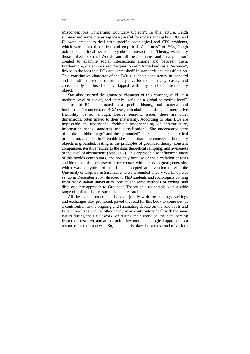#### xx Introduction

Misconceptions Concerning Boundary Objects". In this lecture, Leigh summarized some interesting ideas, useful for understanding how BOs and IIs were created to deal with specific sociological and STS problems, which were both theoretical and empirical. As "roots" of BOs, Leigh pointed out critical issues in Symbolic Interactionist Theory, especially those linked to Social Worlds, and all the anomalies and "triangulation" created to examine social intersections among and between them. Furthermore, she emphasized the question of "Borderlands as a Resource", linked to the idea that BOs are "enmeshed" in standards and classification. This constitutive character of the BOs (i.e. their consistency in standard and classifications) is unfortunately overlooked in many cases, and consequently confused or overlapped with any kind of intermediary object.

Star also asserted the grounded character of this concept, valid "at a medium level of scale", and "rarely useful on a global or mythic level". The use of BOs is situated in a specific history, both material and intellectual. To understand BOs' uses, articulation and design, "interpretive flexibility" is not enough. Beside semiotic issues, there are other dimensions, often linked to their materiality. According to Star, BOs are impossible to understand "without understanding of infrastructure, information needs, standards and classification". She underscored very often the "middle-range" and the "grounded" character of her theoretical production, and also in Grenoble she noted that "the concept of boundary objects is grounded, resting in the principles of grounded theory: constant comparison, iterative returns to the data, theoretical sampling, and awareness of the level of abstraction" (Star 2007). This approach also influenced many of this book's contributors, and not only because of the circulation of texts and ideas, but also because of direct contact with her. With great generosity, which was so typical of her, Leigh accepted an invitation to visit the University of Cagliari, in Sardinia, where a Grounded Theory Workshop was set up in December 2007, directed to PhD students and sociologists coming from many Italian universities. She taught some methods of coding, and discussed her approach to Grounded Theory at a roundtable with a wide range of Italian scholars specialized in research methods.

All the events remembered above, jointly with the readings, writings and exchanges they promoted, paved the road for this book to come out, as a contribution to the ongoing and fascinating debate on the role of IIs and BOs in our lives. On the other hand, many contributors dealt with the same issues during their fieldwork, or during their work on the data coming from their research, and at that point they met the ecological approach as a resource for their analysis. So, this book is placed at a crossroad of various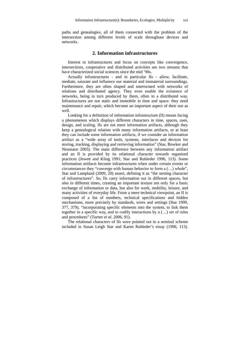paths and genealogies, all of them connected with the problem of the intersection among different levels of scale throughout devices and networks.

#### **2. Information infrastructures**

Interest in infrastructures and focus on concepts like convergence, intersections, cooperative and distributed activities are two streams that have characterized social sciences since the mid '90s.

Actually infrastructures - and in particular IIs - allow, facilitate, mediate, saturate and influence our material and immaterial surroundings. Furthermore, they are often shaped and intertwined with networks of relations and distributed agency. They even enable the existence of networks, being in turn produced by them, often in a distributed way. Infrastructures are not static and immobile in time and space: they need maintenance and repair, which become an important aspect of their use as well.

Looking for a definition of information infrastructure (II) means facing a phenomenon which displays different characters in time, spaces, uses, design, and scaling. IIs are not mere information artifacts, although they keep a genealogical relation with many information artifacts, or at least they can include some information artifacts, if we consider an information artifact as a "wide array of tools, systems, interfaces and devices for storing, tracking, displaying and retrieving information" (Star, Bowker and Neumann 2003). The main difference between any information artifact and an II is provided by its relational character towards organized practices (Jewett and Kling 1991; Star and Ruhleder 1996, 113). Some information artifacts become infrastructures when under certain events or circumstances they "converge with human behavior to form a (…) whole", Star and Lampland (2009, 20) assert, defining it as "the nesting character of infrastructures". So, IIs carry information out in different spaces, but also in different times, creating an important texture not only for a basic exchange of information or data, but also for work, mobility, leisure, and many activities of everyday life. From a mere technical viewpoint, an II is composed of a list of numbers, technical specifications and hidden mechanisms, more precisely by standards, wires and settings (Star 1999, 377, 379), "incorporating specific elements into the system, to link them together in a specific way, and to codify interactions by a (…) set of rules and procedures" (Turner *et al.* 2006, 91).

The relational characters of IIs were pointed out in a seminal scheme included in Susan Leigh Star and Karen Ruhleder's essay (1996, 113).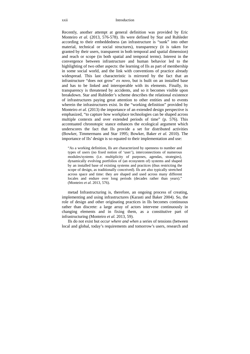#### xxii Introduction

Recently, another attempt at general definition was provided by Eric Monteiro *et al.* (2013, 576-578). IIs were defined by Star and Ruhleder according to their embeddedness (an infrastructure is "sunk" into other material, technical or social structures), transparency (it is taken for granted by their users, transparent in both temporal and spatial dimension) and reach or scope (in both spatial and temporal terms). Interest in the convergence between infrastructure and human behavior led to the highlighting of two other aspects: the learning of IIs as part of membership in some social world, and the link with conventions of practice already widespread. This last characteristic is mirrored by the fact that an infrastructure "does not grow" *ex novo*, but is built on an installed base and has to be linked and interoperable with its elements. Finally, its transparency is threatened by accidents, and so it becomes visible upon breakdown. Star and Ruhleder's scheme describes the relational existence of infrastructures paying great attention to other entities and to events wherein the infrastructures exist. In the "working definition" provided by Monteiro *et al.* (2013) the importance of an extended design perspective is emphasized, "to capture how workplace technologies can be shaped across multiple contexts and over extended periods of time" (p. 576). This accentuated chronotopic stance enhances the ecological argument which underscores the fact that IIs provide a set for distributed activities (Bowker, Timmermans and Star 1995; Bowker, Baker *et al.* 2010). The importance of IIs' design is so equated to their implementation and use:

"As a working definition, IIs are characterized by openness to number and types of users (no fixed notion of 'user'), interconnections of numerous modules/systems (i.e. multiplicity of purposes, agendas, strategies), dynamically evolving portfolios of (an ecosystem of) systems and shaped by an installed base of existing systems and practices (thus restricting the scope of design, as traditionally conceived). IIs are also typically stretched across space and time: they are shaped and used across many different locales and endure over long periods (decades rather than years)." (Monteiro *et al.* 2013, 576).

metad Infrastructuring is, therefore, an ongoing process of creating, implementing and using infrastructures (Karasti and Baker 2004). So, the role of design and other originating practices in IIs becomes continuous rather than discrete: a large array of actors intervene continuously in changing elements and in fixing them, as a constitutive part of infrastructuring (Monteiro *et al.* 2013, 59).

IIs do not exist but *occur where and when* a series of tensions (between local and global, today's requirements and tomorrow's users, research and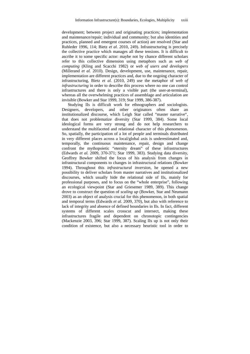development; between project and originating practices; implementation and maintenance/repair; individual and community; but also identities and practices, planned and emergent courses of action) are resolved (Star and Ruhleder 1996, 114; Bietz *et al.* 2010, 249). Infrastructuring is precisely the collective practice which manages all these tensions. It is difficult to ascribe it to some specific actor: maybe not by chance different scholars refer to this collective dimension using metaphors such as *web of computing* (Kling and Scacchi 1982) or *web of users and developers* (Millerand *et al.* 2010). Design, development, use, maintenance, repair, implementation are different practices and, due to the ongoing character of infrastructuring, Bietz *et al.* (2010, 249) use the metaphor of *web of infrastructuring* in order to describe this process where no one can control infrastructures and there is only a visible part (the user-at-terminal), whereas all the overwhelming practices of assemblage and articulation are invisible (Bowker and Star 1999, 319; Star 1999, 386-387).

Studying IIs is difficult work for ethnographers and sociologists. Designers, developers, and other originators often share an institutionalized discourse, which Leigh Star called "master narrative", that does not problematize diversity (Star 1999, 384). Some local ideological forms are very strong and do not help researchers to understand the multifaceted and relational character of this phenomenon. So, spatially, the participation of a lot of people and terminals distributed in very different places across a local/global axis is underestimated and, temporally, the continuous maintenance, repair, design and change confront the mythopoietic "eternity dream" of these infrastructures (Edwards *et al.* 2009, 370-371; Star 1999, 383). Studying data diversity, Geoffrey Bowker shifted the focus of his analysis from changes in infrastructural components to changes in infrastructural relations (Bowker 1994). Throughout this *infrastructural inversion*, he opened a new possibility to deliver scholars from master narratives and institutionalized discourses, which usually hide the relational side of IIs, mainly for professional purposes, and to focus on the "whole enterprise", following an ecological viewpoint (Star and Griesemer 1989, 389). This change drove to construct the question of *scaling up* (Bowker, Star and Neumann 2003) as an object of analysis crucial for this phenomenon, in both spatial and temporal terms (Edwards *et al.* 2009, 370), but also with reference to lack of integrity and absence of defined boundaries in IIs. In fact, different systems of different scales crosscut and intersect, making these infrastructures fragile and dependent on chronotopic contingencies (Mackenzie 2003, 396; Star 1999, 387). Scaling IIs up is not only their condition of existence, but also a necessary heuristic tool in order to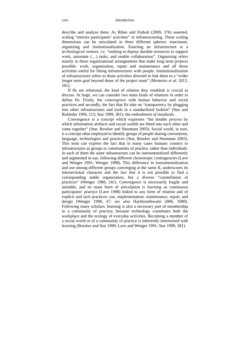#### xxiv Introduction

describe and analyze them. As Ribes and Finholt (2009, 376) asserted, scaling "mirrors participants' activities" in infrastructuring. These scaling dimensions can be articulated in three different spheres: enactment, organizing and institutionalization. Enacting an infrastructure is a *technological venture*, i.e. "seeking to deploy durable resources to support work, automate (…) tasks, and enable collaboration". Organizing refers mainly to these organizational arrangements that make long term projects possible: work, organization, repair and maintenance and all those activities useful for fitting infrastructures with people. Institutionalization of infrastructures refers to those activities directed to link them to a "wider longer term goal beyond those of the project team" (Monteiro *et al.* 2013, 581).

If IIs are relational, the kind of relation they establish is crucial to discuss. At large, we can consider two main kinds of relations in order to define IIs. Firstly, the *convergence* with human behavior and social practices and secondly, the fact that IIs take on "transparency by plugging into other infrastructures and tools in a standardized fashion" (Star and Ruhleder 1996, 113; Star 1999, 381): the *embodiment of standards*.

Convergence is a concept which expresses "the double process by which information artifacts and social worlds are fitted into each other and come together" (Star, Bowker and Neumann 2003). Social world, in turn, is a concept often employed to identify groups of people sharing conventions, language, technologies and practices (Star, Bowker and Neumann 2003). This term can express the fact that in many cases humans connect to infrastructures as groups or communities of practice, rather than individuals. In each of them the same infrastructure can be instrumentalized differently and segmented in use, following different chronotopic contingencies (Lave and Wenger 1991; Wenger 1998). This difference in instrumentalization and use among different groups converging at the same II, underscores its intersectional character and the fact that it is not possible to find a corresponding stable organization, but a diverse "constellation of practices" (Wenger 1988, 241). Convergence is necessarily fragile and unstable, and its main form of articulation is *learning* as continuous participants' practice (Lave 1998) linked to any form of relation and of explicit and tacit practices: use, implementation, maintenance, repair, and design (Wenger 1998, 47; *see also* Haythornthwaite 2006, 1080). Following many scholars, learning is also a necessary part of membership in a community of practice, because technology constitutes both the workplace and the ecology of everyday activities. Becoming a member of a social world or of a community of practice is inherently intertwined with learning (Bowker and Star 1999; Lave and Wenger 1991; Star 1999, 381).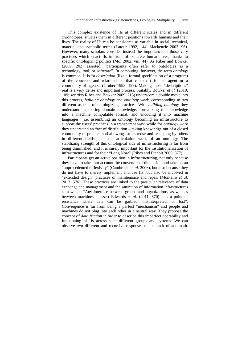This complex existence of IIs at different scales and in different chronotopes, situates them in different positions towards humans and their lives. The reality of IIs can be considered as variable in social, technical, material and symbolic terms (Latour 1992, 144; Mackenzie 2003, 96). However, many scholars consider instead the importance of those very practices which enact IIs in front of concrete human lives, thanks to specific ontologizing politics (Mol 2002, viii, 44). As Ribes and Bowker (2009, 202) asserted, "participants often refer to ontologies as a technology, tool, or software". In computing, however, the term *ontology* is common. It is "a *description* (like a formal specification of a program) of the concepts and relationships that can exist for an agent or a community of agents" (Gruber 1993, 199). Making those "descriptions" real is a very dense and important process. Suitably, Bowker *et al.* (2010, 109; *see also* Ribes and Bowker 2009, 215) underscore a double move into this process, *building ontology* and *ontology work*, corresponding to two different aspects of ontologizing practices. With *building ontology* they understand "gathering domain knowledge, formalizing this knowledge into a machine computable format, and encoding it into machine languages", i.e. assembling an ontology becoming an infrastructure to support the users' practices in a transparent way; while for *ontology work* they understand an "act of distribution – taking knowledge out of a closed community of practice and allowing for its reuse and reshaping by others in different fields", i.e. the articulation work of an ontology. The stabilizing strength of this ontological side of infrastructuring is far from being diminished, and it is surely important for the institutionalization of infrastructures and for their "Long Now" (Ribes and Finholt 2009, 377).

Participants get an active position in infrastructuring, not only because they have to take into account the conventional dimension and take on an "unprecedented reflexivity" (Cambrosio *et al.* 2006), but also because they do not have to merely implement and use IIs, but also be involved in "extended design" practices of maintenance and repair (Monteiro *et al.* 2013, 576). These practices are linked to the particular relevance of data exchange and management and the saturation of information infrastructures as a whole. "Any interface between groups and organizations, as well as between machines – assert Edwards *et al.* (2011, 670) – is a point of resistance where data can be garbled, misinterpreted, or lost". Convergence is far from being a perfect "mechanism" and people and machines do not plug into each other in a neutral way. They propose the concept of *data friction* in order to describe this imperfect operability and functioning of IIs across such different groups and systems. We can observe two different and recursive responses to this lack of automatic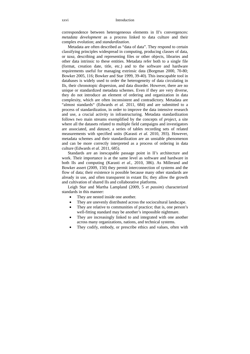correspondence between heterogeneous elements in II's convergences: *metadata development* as a process linked to data culture and their complex evolution; and *standardization*.

Metadata are often described as "data of data". They respond to certain classifying principles widespread in computing, producing classes of data, or *taxa*, describing and representing files or other objects, libraries and other data intrinsic to these entities. Metadata refer both to a single file (format, creation date, title, etc.) and to the software and hardware requirements useful for managing extrinsic data (Borgman 2000, 70-80; Bowker 2005, 116; Bowker and Star 1999, 39-40). This inescapable tool in databases is widely used to order the heterogeneity of data circulating in IIs, their chronotopic dispersion, and data disorder. However, there are no unique or standardized metadata schemes. Even if they are very diverse, they do not introduce an element of ordering and organization in data complexity, which are often inconsistent and contradictory. Metadata are "almost standards" (Edwards *et al.* 2011, 684) and are submitted to a process of standardization, in order to improve the data intensive research and use, a crucial activity in infrastructuring. Metadata standardization follows two main streams exemplified by the concepts of *project*, a site where all the datasets related to multiple field campaigns and investigators are associated, and *dataset*, a series of tables recording sets of related measurements with specified units (Karasti *et al.* 2010, 393). However, metadata schemes and their standardization are an unstable phenomenon and can be more correctly interpreted as a process of ordering in data culture (Edwards *et al.* 2011, 685).

Standards are an inescapable passage point in II's architecture and work. Their importance is at the same level as software and hardware in both IIs and computing (Karasti *et al.*, 2010, 386). As Millerand and Bowker assert (2009, 150) they permit interconnection of systems and the flow of data; their existence is possible because many other standards are already in use, and often transparent in extant IIs; they allow the growth and cultivation of shared IIs and collaborative platforms.

Leigh Star and Martha Lampland (2009, 5 *et passim*) characterized standards in this manner:

- They are nested inside one another.
- They are unevenly distributed across the sociocultural landscape.
- They are relative to communities of practice; that is, one person's well-fitting standard may be another's impossible nightmare.
- They are increasingly linked to and integrated with one another across many organizations, nations, and technical systems.
- They codify, embody, or prescribe ethics and values, often with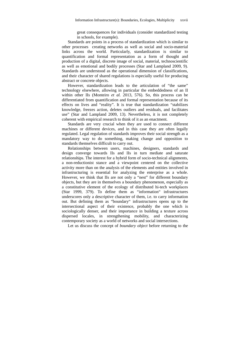great consequences for individuals (consider standardized testing in schools, for example).

Standards are points in a process of standardization which is similar to other processes creating networks as well as social and socio-material links across the world. Particularly, standardization is similar to quantification and formal representation as a form of thought and production of a digital, discrete image of social, material, technoscientific as well as emotional and bodily processes (Star and Lampland 2009, 9). Standards are understood as the operational dimension of classifications, and their character of shared regulations is especially useful for producing abstract or concrete objects.

However, standardization leads to the articulation of "the same" technology elsewhere, allowing in particular the embeddedness of an II within other IIs (Monteiro *et al.* 2013, 576). So, this process can be differentiated from quantification and formal representation because of its effects on lives and "reality". It is true that standardization "stabilizes knowledge, freezes action, deletes outliers and residuals, and facilitates use" (Star and Lampland 2009, 13). Nevertheless, it is not completely coherent with empirical research to think of it as an enactment.

Standards are very crucial when they are used to connect different machines or different devices, and in this case they are often legally regulated. Legal regulation of standards improves their social strength as a mandatory way to do something, making change and opposition to standards themselves difficult to carry out.

Relationships between users, machines, designers, standards and design converge towards IIs and IIs in turn mediate and saturate relationships. The interest for a hybrid form of socio-technical alignments, a non-reductionist stance and a viewpoint centered on the collective activity more than on the analysis of the elements and entities involved in infrastructuring is essential for analyzing the enterprise as a whole. However, we think that IIs are not only a "nest" for different boundary objects, but they are in themselves a boundary phenomenon, especially as a constitutive element of the ecology of distributed hi-tech workplaces (Star 1999, 379). To define them as "information" infrastructures underscores only a descriptive character of them, i.e. to carry information out. But defining them as "boundary" infrastructures opens up to the intersectional aspect of their existence, probably the one which is sociologically denser, and their importance in building a texture across dispersed locales, in strengthening mobility, and characterizing contemporary society as a world of networks and social intersections.

Let us discuss the concept of *boundary object* before returning to the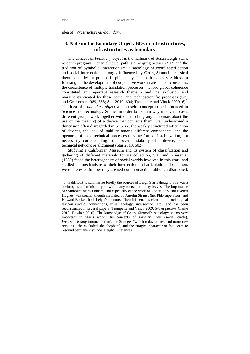idea of *infrastructure-as-boundary*.

#### **3. Note on the Boundary Object. BOs in infrastructures, infrastructures-as-boundary**

The concept of *boundary object* is the hallmark of Susan Leigh Star's research program. Her intellectual path is a merging between STS and the tradition of Symbolic Interactionism: a sociology of coordinated action and social intersections strongly influenced by Georg Simmel's classical theories and by the pragmatist philosophy. This path makes STS blossom focusing on the development of cooperative work in absence of consensus, the coexistence of multiple translation processes - whose global coherence constituted an important research theme - and the exclusion and marginality created by those social and technoscientific processes (Star and Griesemer 1989, 388; Star 2010, 604; Trompette and Vinck 2009,  $6$ <sup>7</sup>. The idea of a *boundary object* was a useful concept to be introduced in Science and Technology Studies in order to explain why in several cases different groups work together without reaching any consensus about the use or the meaning of a device that connects them. Star underscored a dimension often disregarded in STS, i.e. the weakly structured articulation of devices, the lack of stability among different components, and the openness of socio-technical processes to some forms of stabilization, not necessarily corresponding to an overall stability of a device, sociotechnical network or alignment (Star 2010, 602).

Studying a Californian Museum and its system of classification and gathering of different materials for its collection, Star and Griesemer (1989) faced the heterogeneity of social worlds involved in this work and studied the mechanisms of their intersection and articulation. The authors were interested in how they created common action, although distributed,

 7 It is difficult to summarize briefly the sources of Leigh Star's thought. She was a sociologist, a feminist, a poet with many roots, and many leaves. The importance of Symbolic Interactionism, and especially of the work of Robert Park and Everett Hughes, was crucial, though mediated by Anselm Strauss (her PhD supervisor) and Howard Becker, both Leigh's mentors. Their influence is clear in her sociological lexicon (world, conventions, rules, ecology, intersection, etc.) and has been reconstructed in several papers (Trompette and Vinck 2009, 5-8 *et passim*; Clarke 2010; Bowker 2010). The knowledge of Georg Simmel's sociology seems very important in Star's work. His concepts of *sozialer Kreis* (social circle), *Wechselwirkung* (mutual action), the Stranger "which today comes, and tomorrow remains", the excluded, the "orphan", and the "tragic" character of fate seem to resound permanently under Leigh's utterances.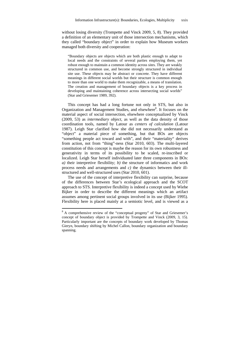without losing diversity (Trompette and Vinck 2009, 5, 8). They provided a definition of an elementary unit of those intersection mechanisms, which they called "boundary object" in order to explain how Museum workers managed both diversity and cooperation:

"Boundary objects are objects which are both plastic enough to adapt to local needs and the constraints of several parties employing them, yet robust enough to maintain a common identity across sites. They are weakly structured in common use, and become strongly structured in individual site use. These objects may be abstract or concrete. They have different meanings in different social worlds but their structure is common enough to more than one world to make them recognizable, a means of translation. The creation and management of boundary objects is a key process in developing and maintaining coherence across intersecting social worlds" (Star and Griesemer 1989, 392).

This concept has had a long fortune not only in STS, but also in Organization and Management Studies, and elsewhere<sup>8</sup>. It focuses on the material aspect of social intersection, elsewhere conceptualized by Vinck (2009, 53) as *intermediary object*, as well as the data density of those coordination tools, named by Latour as *centers of calculation* (Latour 1987). Leigh Star clarified how she did not necessarily understand as "object" a material piece of something, but that BOs are objects "something people act toward and with", and their "materiality" derives from action, not from "thing"-ness (Star 2010, 603). The multi-layered constitution of this concept is maybe the reason for its own robustness and generativity in terms of its possibility to be scaled, re-inscribed or localized. Leigh Star herself individuated later three components in BOs: *a)* their interpretive flexibility; *b)* the structure of informatics and work process needs and arrangements and *c)* the dynamics between their illstructured and well-structured uses (Star 2010, 601).

The use of the concept of interpretive flexibility can surprise, because of the differences between Star's ecological approach and the SCOT approach to STS. Interpretive flexibility is indeed a concept used by Wiebe Bijker in order to describe the different meanings which an artifact assumes among pertinent social groups involved in its use (Bijker 1995). Flexibility here is placed mainly at a semiotic level, and is viewed as a

 $\overline{a}$ 

<sup>8</sup> A comprehensive review of the "conceptual progeny" of Star and Griesemer's concept of boundary object is provided by Trompette and Vinck (2009, 3, 15). Particularly important are the concepts of boundary work developed by Thomas Gieryn, boundary shifting by Michel Callon, boundary organization and boundary spanning.